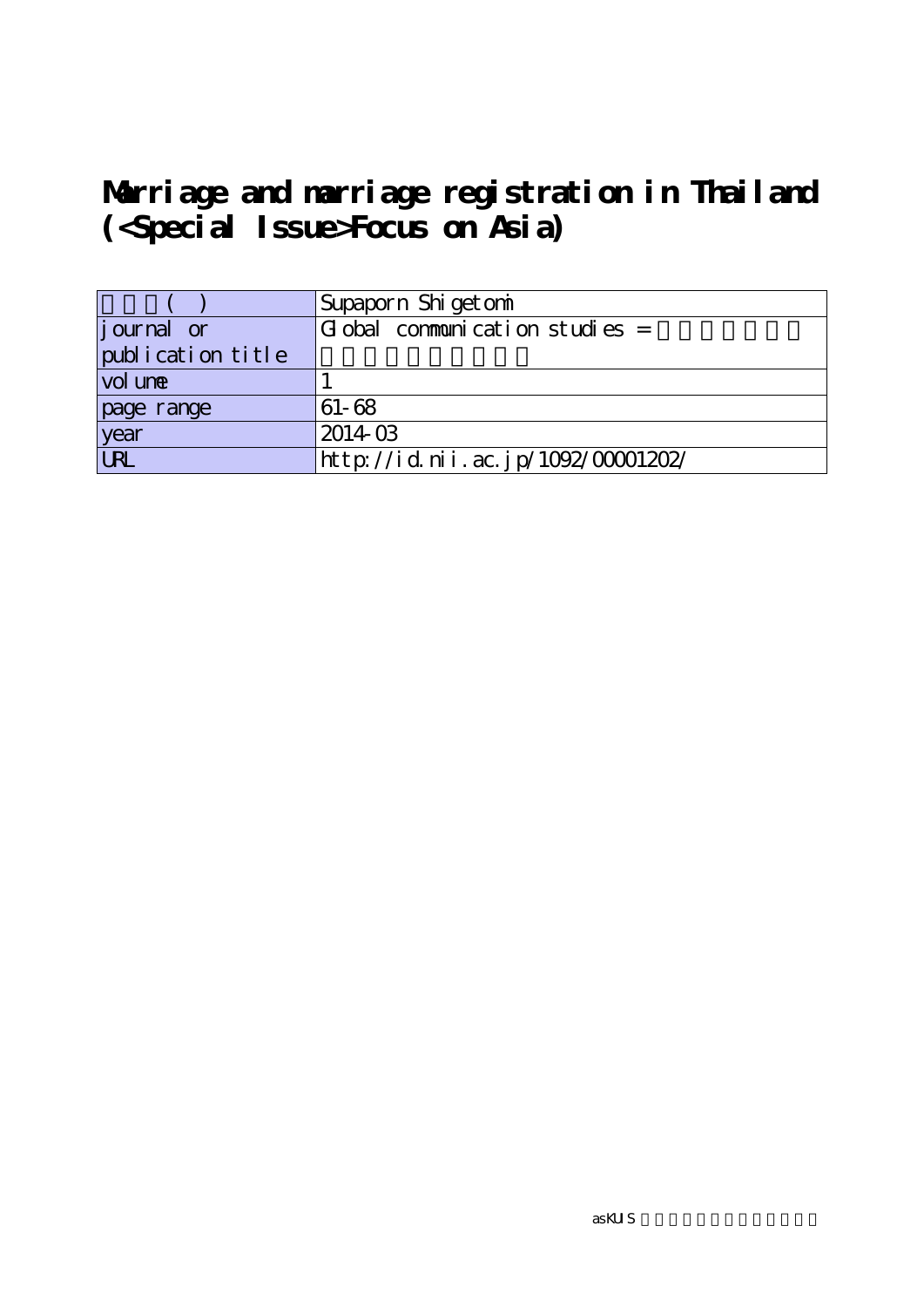# **Marriage and marriage registration in Thailand (<Special Issue>Focus on Asia)**

|                    | Supaporn Shigetomi                 |
|--------------------|------------------------------------|
| <i>j</i> ournal or | $G$ obal communication studies =   |
| publication title  |                                    |
| vol une            |                                    |
| page range         | $61 - 68$                          |
| year               | 201403                             |
| URL                | http://id.nii.ac.jp/1092/00001202/ |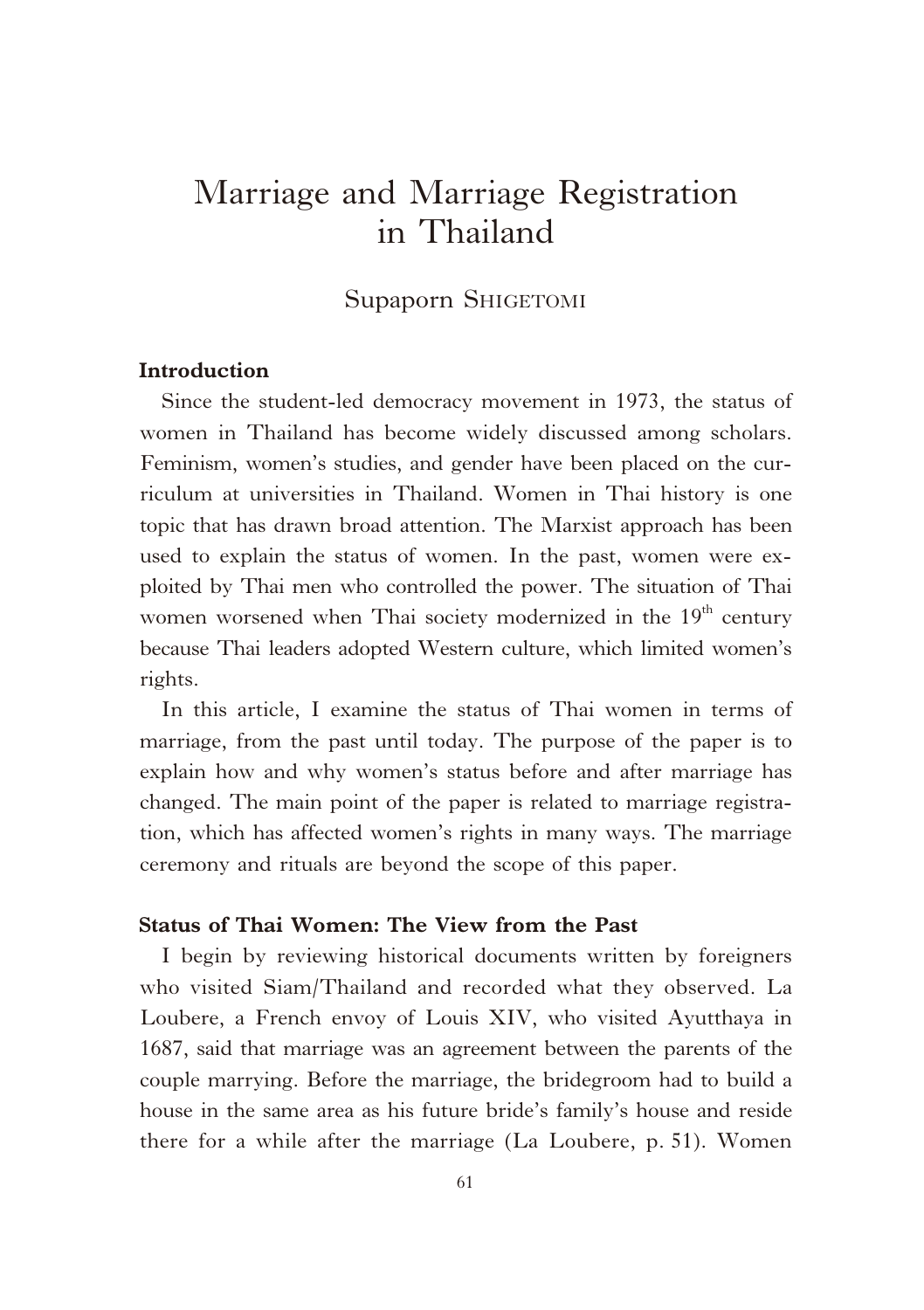## Marriage and Marriage Registration in Thailand

#### Supaporn SHIGETOMI

#### **Introduction**

Since the student-led democracy movement in 1973, the status of women in Thailand has become widely discussed among scholars. Feminism, women's studies, and gender have been placed on the curriculum at universities in Thailand. Women in Thai history is one topic that has drawn broad attention. The Marxist approach has been used to explain the status of women. In the past, women were exploited by Thai men who controlled the power. The situation of Thai women worsened when Thai society modernized in the  $19<sup>th</sup>$  century because Thai leaders adopted Western culture, which limited women's rights.

In this article, I examine the status of Thai women in terms of marriage, from the past until today. The purpose of the paper is to explain how and why women's status before and after marriage has changed. The main point of the paper is related to marriage registration, which has affected women's rights in many ways. The marriage ceremony and rituals are beyond the scope of this paper.

#### **Status of Thai Women: The View from the Past**

I begin by reviewing historical documents written by foreigners who visited Siam/Thailand and recorded what they observed. La Loubere, a French envoy of Louis XIV, who visited Ayutthaya in 1687, said that marriage was an agreement between the parents of the couple marrying. Before the marriage, the bridegroom had to build a house in the same area as his future bride's family's house and reside there for a while after the marriage (La Loubere, p. 51). Women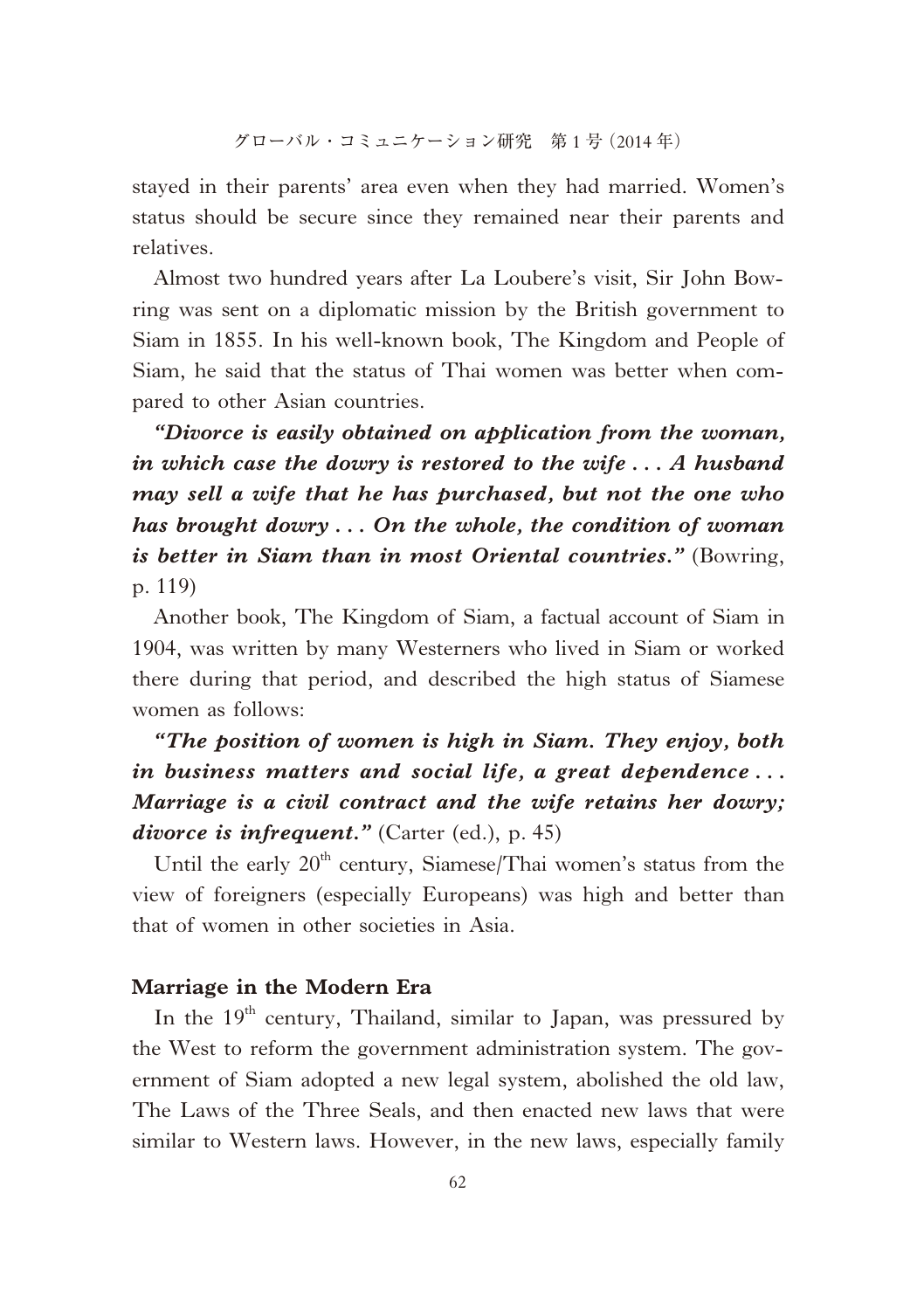stayed in their parents' area even when they had married. Women's status should be secure since they remained near their parents and relatives.

Almost two hundred years after La Loubere's visit, Sir John Bowring was sent on a diplomatic mission by the British government to Siam in 1855. In his well-known book, The Kingdom and People of Siam, he said that the status of Thai women was better when compared to other Asian countries.

*"Divorce is easily obtained on application from the woman, in which case the dowry is restored to the wife . . . A husband may sell a wife that he has purchased, but not the one who has brought dowry . . . On the whole, the condition of woman is better in Siam than in most Oriental countries."* (Bowring, p. 119)

Another book, The Kingdom of Siam, a factual account of Siam in 1904, was written by many Westerners who lived in Siam or worked there during that period, and described the high status of Siamese women as follows:

### *"The position of women is high in Siam. They enjoy, both in business matters and social life, a great dependence . . . Marriage is a civil contract and the wife retains her dowry; divorce is infrequent."* (Carter (ed.), p. 45)

Until the early  $20<sup>th</sup>$  century, Siamese/Thai women's status from the view of foreigners (especially Europeans) was high and better than that of women in other societies in Asia.

#### **Marriage in the Modern Era**

In the 19<sup>th</sup> century, Thailand, similar to Japan, was pressured by the West to reform the government administration system. The government of Siam adopted a new legal system, abolished the old law, The Laws of the Three Seals, and then enacted new laws that were similar to Western laws. However, in the new laws, especially family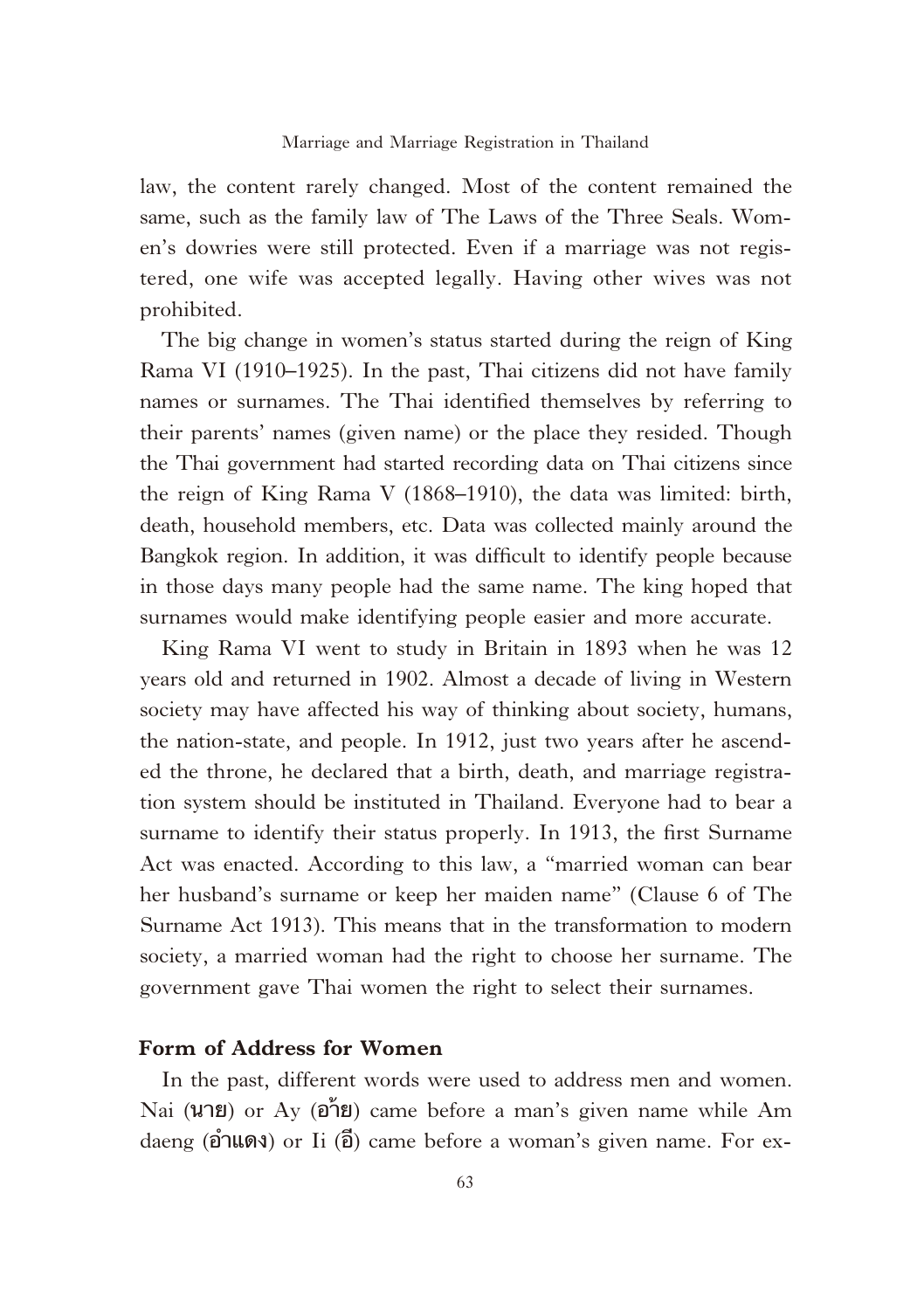law, the content rarely changed. Most of the content remained the same, such as the family law of The Laws of the Three Seals. Women's dowries were still protected. Even if a marriage was not registered, one wife was accepted legally. Having other wives was not prohibited.

The big change in women's status started during the reign of King Rama VI (1910–1925). In the past, Thai citizens did not have family names or surnames. The Thai identified themselves by referring to their parents' names (given name) or the place they resided. Though the Thai government had started recording data on Thai citizens since the reign of King Rama V (1868–1910), the data was limited: birth, death, household members, etc. Data was collected mainly around the Bangkok region. In addition, it was difficult to identify people because in those days many people had the same name. The king hoped that surnames would make identifying people easier and more accurate.

King Rama VI went to study in Britain in 1893 when he was 12 years old and returned in 1902. Almost a decade of living in Western society may have affected his way of thinking about society, humans, the nation-state, and people. In 1912, just two years after he ascended the throne, he declared that a birth, death, and marriage registration system should be instituted in Thailand. Everyone had to bear a surname to identify their status properly. In 1913, the first Surname Act was enacted. According to this law, a "married woman can bear her husband's surname or keep her maiden name" (Clause 6 of The Surname Act 1913). This means that in the transformation to modern society, a married woman had the right to choose her surname. The government gave Thai women the right to select their surnames.

#### **Form of Address for Women**

In the past, different words were used to address men and women. Nai (นาย) or Ay (อา้ย) came before a man's given name while Am daeng  $(\hat{\mathbf{p}})$  ar  $\hat{\mathbf{p}}$  ame before a woman's given name. For ex-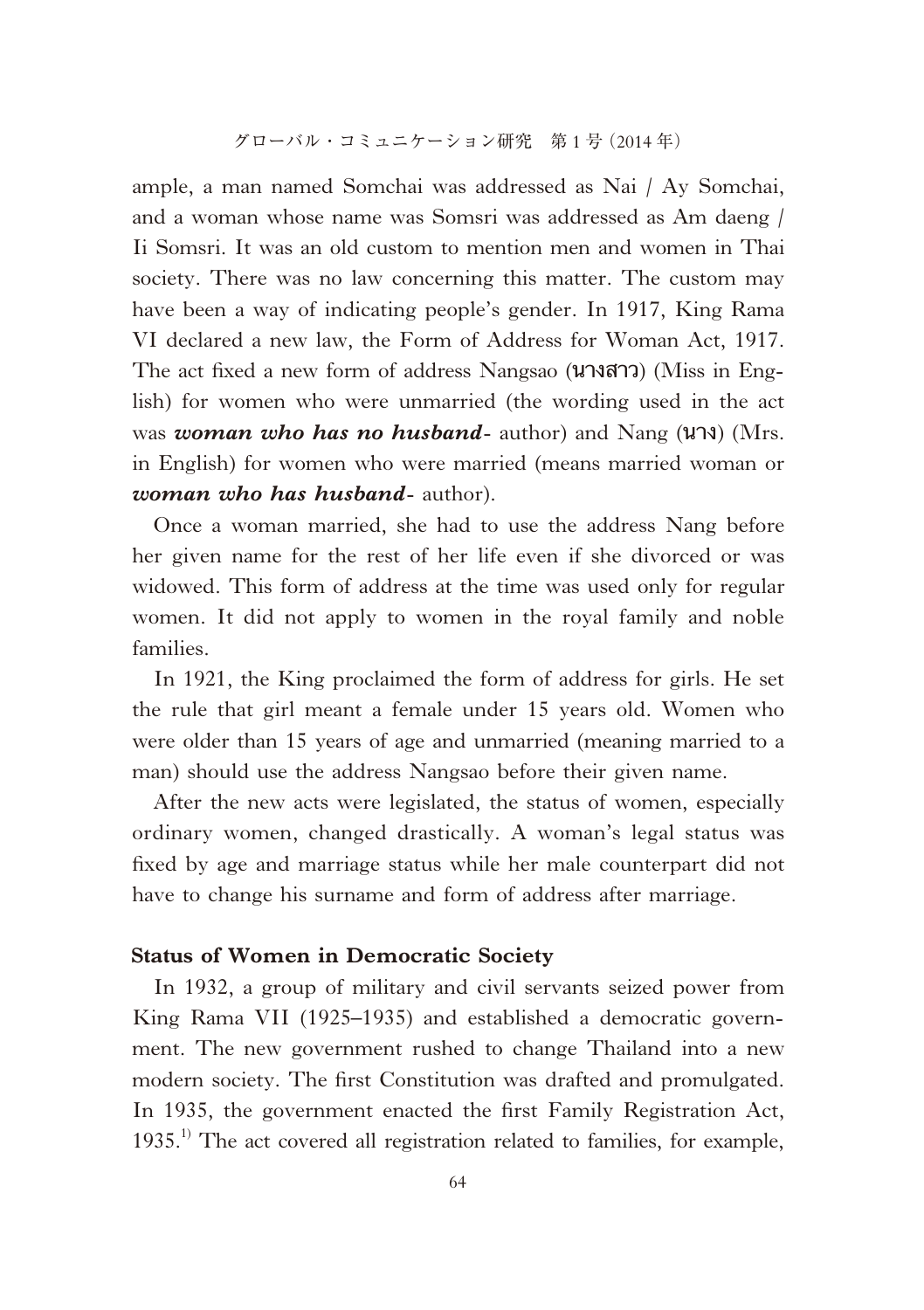ample, a man named Somchai was addressed as Nai / Ay Somchai, and a woman whose name was Somsri was addressed as Am daeng / Ii Somsri. It was an old custom to mention men and women in Thai society. There was no law concerning this matter. The custom may have been a way of indicating people's gender. In 1917, King Rama VI declared a new law, the Form of Address for Woman Act, 1917. The act fi xed a new form of address Nangsao (นางสาว) (Miss in English) for women who were unmarried (the wording used in the act was *woman who has no husband*- author) and Nang (นาง) (Mrs. in English) for women who were married (means married woman or *woman who has husband*- author).

Once a woman married, she had to use the address Nang before her given name for the rest of her life even if she divorced or was widowed. This form of address at the time was used only for regular women. It did not apply to women in the royal family and noble families.

In 1921, the King proclaimed the form of address for girls. He set the rule that girl meant a female under 15 years old. Women who were older than 15 years of age and unmarried (meaning married to a man) should use the address Nangsao before their given name.

After the new acts were legislated, the status of women, especially ordinary women, changed drastically. A woman's legal status was fixed by age and marriage status while her male counterpart did not have to change his surname and form of address after marriage.

#### **Status of Women in Democratic Society**

In 1932, a group of military and civil servants seized power from King Rama VII (1925–1935) and established a democratic government. The new government rushed to change Thailand into a new modern society. The first Constitution was drafted and promulgated. In 1935, the government enacted the first Family Registration Act,  $1935<sup>1</sup>$ . The act covered all registration related to families, for example,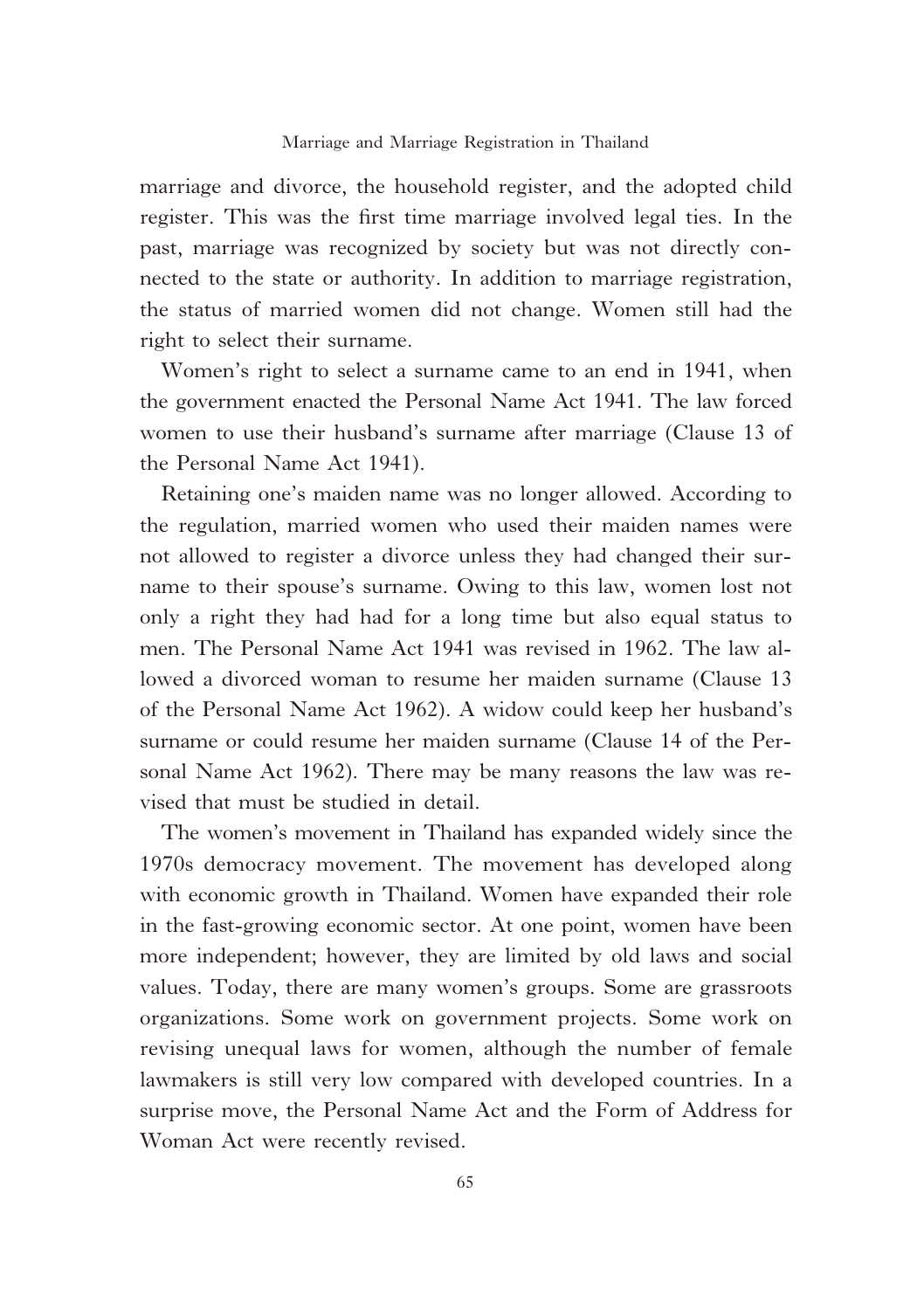marriage and divorce, the household register, and the adopted child register. This was the first time marriage involved legal ties. In the past, marriage was recognized by society but was not directly connected to the state or authority. In addition to marriage registration, the status of married women did not change. Women still had the right to select their surname.

Women's right to select a surname came to an end in 1941, when the government enacted the Personal Name Act 1941. The law forced women to use their husband's surname after marriage (Clause 13 of the Personal Name Act 1941).

Retaining one's maiden name was no longer allowed. According to the regulation, married women who used their maiden names were not allowed to register a divorce unless they had changed their surname to their spouse's surname. Owing to this law, women lost not only a right they had had for a long time but also equal status to men. The Personal Name Act 1941 was revised in 1962. The law allowed a divorced woman to resume her maiden surname (Clause 13 of the Personal Name Act 1962). A widow could keep her husband's surname or could resume her maiden surname (Clause 14 of the Personal Name Act 1962). There may be many reasons the law was revised that must be studied in detail.

The women's movement in Thailand has expanded widely since the 1970s democracy movement. The movement has developed along with economic growth in Thailand. Women have expanded their role in the fast-growing economic sector. At one point, women have been more independent; however, they are limited by old laws and social values. Today, there are many women's groups. Some are grassroots organizations. Some work on government projects. Some work on revising unequal laws for women, although the number of female lawmakers is still very low compared with developed countries. In a surprise move, the Personal Name Act and the Form of Address for Woman Act were recently revised.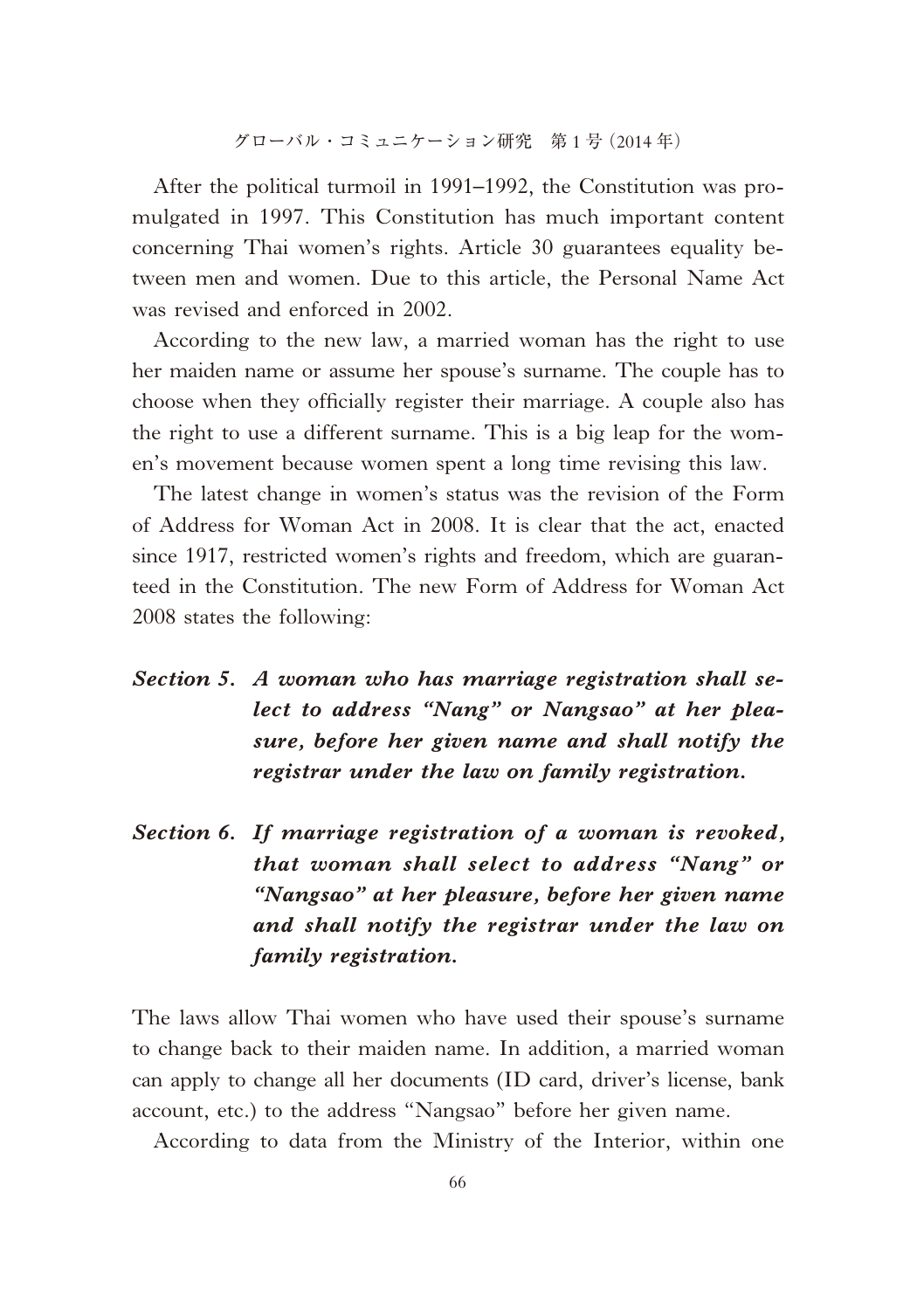グローバル・コミュニケーション研究 第 1 号(2014 年)

After the political turmoil in 1991–1992, the Constitution was promulgated in 1997. This Constitution has much important content concerning Thai women's rights. Article 30 guarantees equality between men and women. Due to this article, the Personal Name Act was revised and enforced in 2002.

According to the new law, a married woman has the right to use her maiden name or assume her spouse's surname. The couple has to choose when they officially register their marriage. A couple also has the right to use a different surname. This is a big leap for the women's movement because women spent a long time revising this law.

The latest change in women's status was the revision of the Form of Address for Woman Act in 2008. It is clear that the act, enacted since 1917, restricted women's rights and freedom, which are guaranteed in the Constitution. The new Form of Address for Woman Act 2008 states the following:

- *Section 5. A woman who has marriage registration shall select to address "Nang" or Nangsao" at her pleasure, before her given name and shall notify the registrar under the law on family registration.*
- *Section 6. If marriage registration of a woman is revoked, that woman shall select to address "Nang" or "Nangsao" at her pleasure, before her given name and shall notify the registrar under the law on family registration.*

The laws allow Thai women who have used their spouse's surname to change back to their maiden name. In addition, a married woman can apply to change all her documents (ID card, driver's license, bank account, etc.) to the address "Nangsao" before her given name.

According to data from the Ministry of the Interior, within one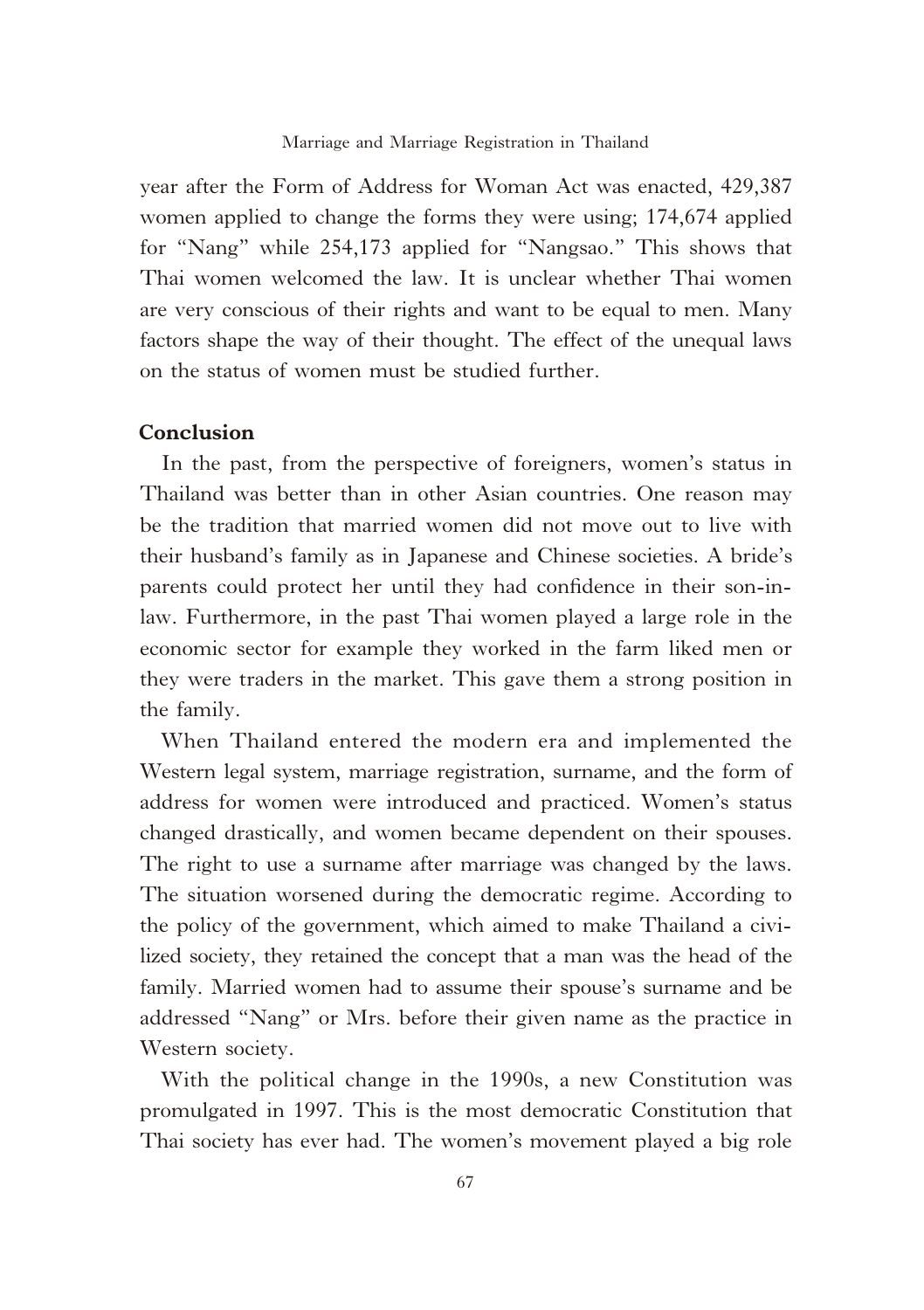year after the Form of Address for Woman Act was enacted, 429,387 women applied to change the forms they were using; 174,674 applied for "Nang" while 254,173 applied for "Nangsao." This shows that Thai women welcomed the law. It is unclear whether Thai women are very conscious of their rights and want to be equal to men. Many factors shape the way of their thought. The effect of the unequal laws on the status of women must be studied further.

#### **Conclusion**

In the past, from the perspective of foreigners, women's status in Thailand was better than in other Asian countries. One reason may be the tradition that married women did not move out to live with their husband's family as in Japanese and Chinese societies. A bride's parents could protect her until they had confidence in their son-inlaw. Furthermore, in the past Thai women played a large role in the economic sector for example they worked in the farm liked men or they were traders in the market. This gave them a strong position in the family.

When Thailand entered the modern era and implemented the Western legal system, marriage registration, surname, and the form of address for women were introduced and practiced. Women's status changed drastically, and women became dependent on their spouses. The right to use a surname after marriage was changed by the laws. The situation worsened during the democratic regime. According to the policy of the government, which aimed to make Thailand a civilized society, they retained the concept that a man was the head of the family. Married women had to assume their spouse's surname and be addressed "Nang" or Mrs. before their given name as the practice in Western society.

With the political change in the 1990s, a new Constitution was promulgated in 1997. This is the most democratic Constitution that Thai society has ever had. The women's movement played a big role